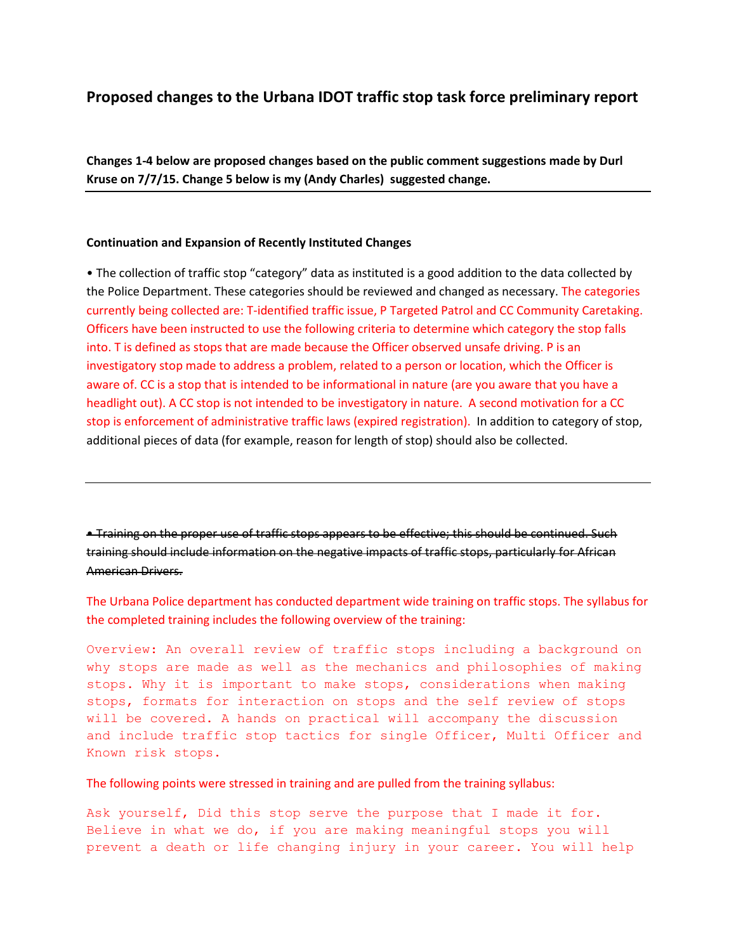## **Proposed changes to the Urbana IDOT traffic stop task force preliminary report**

**Changes 1-4 below are proposed changes based on the public comment suggestions made by Durl Kruse on 7/7/15. Change 5 below is my (Andy Charles) suggested change.** 

## **Continuation and Expansion of Recently Instituted Changes**

• The collection of traffic stop "category" data as instituted is a good addition to the data collected by the Police Department. These categories should be reviewed and changed as necessary. The categories currently being collected are: T-identified traffic issue, P Targeted Patrol and CC Community Caretaking. Officers have been instructed to use the following criteria to determine which category the stop falls into. T is defined as stops that are made because the Officer observed unsafe driving. P is an investigatory stop made to address a problem, related to a person or location, which the Officer is aware of. CC is a stop that is intended to be informational in nature (are you aware that you have a headlight out). A CC stop is not intended to be investigatory in nature. A second motivation for a CC stop is enforcement of administrative traffic laws (expired registration). In addition to category of stop, additional pieces of data (for example, reason for length of stop) should also be collected.

• Training on the proper use of traffic stops appears to be effective; this should be continued. Such training should include information on the negative impacts of traffic stops, particularly for African American Drivers.

The Urbana Police department has conducted department wide training on traffic stops. The syllabus for the completed training includes the following overview of the training:

Overview: An overall review of traffic stops including a background on why stops are made as well as the mechanics and philosophies of making stops. Why it is important to make stops, considerations when making stops, formats for interaction on stops and the self review of stops will be covered. A hands on practical will accompany the discussion and include traffic stop tactics for single Officer, Multi Officer and Known risk stops.

The following points were stressed in training and are pulled from the training syllabus:

Ask yourself, Did this stop serve the purpose that I made it for. Believe in what we do, if you are making meaningful stops you will prevent a death or life changing injury in your career. You will help